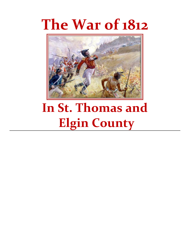# **The War of 1812**



## **In St. Thomas and Elgin County**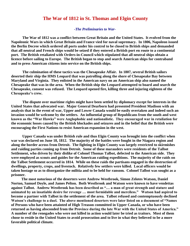#### **The War of 1812 in St. Thomas and Elgin County**

#### *-The Preliminaries to War-*

**The War of 1812 was a conflict between Great Britain and the United States. It evolved from the Napoleonic Wars in which Great Britain and France vied for naval supremacy. In 1806, Napoleon issued the Berlin Decree which ordered all ports under his control to be closed to British ships and demanded that all neutral and French ships would be seized if they entered a British port en route to a continental port. The British retaliated with Orders-in-Council which stipulated that all neutral ships obtain a licence before sailing to Europe. The British began to stop and search American ships for contraband and to press American citizens into service on the British ships.**

**The culmination of these tactics was the Chesapeake Affair. In 1807, several British sailors deserted their ship the HMS Leopard that was patrolling along the shore of Chesapeake Bay between Maryland and Virginia. They enlisted in the American navy on an American ship also named the Chesapeake that was in the area. When the British ship the Leopard attempted to board and search the Chesapeake, consent was refused. The Leopard opened fire, killing three and injuring eighteen of the Chesapeake's crew.** 

**The dispute over maritime rights might have been settled by diplomacy except for interests in the United States that advocated war. Major General Dearborn had presented President Madison with an analysis that in the event of war, Upper and Lower Canada would be easily overtaken and indeed such an invasion would be welcome by the settlers. An influential group of Republicans from the south and west known as the "War Hawks" were Anglophobic and nationalistic. They encouraged war in retaliation for the economic losses caused by the British blockades and seizures and in the belief that the British were encouraging the First Nations to resist American expansion in the west.**

**Upper Canada was under British rule and thus Elgin County was brought into the conflict when war was declared on June 18, 1812. The majority of the battles were fought in the Niagara region and along the border across from Detroit. The fighting in Elgin County was largely restricted to skirmishes and raiding parties coming up from Detroit. Some of these marauders were residents of the Talbot Settlement, who driven by their dislike of Colonel Thomas Talbot, defected to the American side. They were employed as scouts and guides for the American raiding expeditions. The majority of the raids on the Talbot Settlement occurred in 1814. While on these raids the partisans engaged in the destruction of dwellings, property, crops, and livestock. Relatively few settlers were killed. Local officers would be taken hostage so as to disorganize the militia and to be held for ransom. Colonel Talbot was sought as a prisoner.**

 **The most notorious of the deserters were Andrew Westbrook, Simon Zelotes Watson, Daniel Norton, Samuel Doyle, and James Pelton. Both Westbrook and Watson were known to have vendettas against Talbot. Andrew Westbrook has been described as "… a man of great strength and stature and animated by an insatiable desire for revenge … most formidable and merciless." Watson had aspired to become a partner with Talbot in the settlement of the area. Talbot refused and contemptuously declined Watson's challenge to a duel. The above mentioned deserters were later listed on a document of "Names of Persons who have been attainted of High Treason committed in Upper Canada, or who have been returned as having absconded from the Province during the late War with the United States of America." A number of the renegades who were not killed in action would later be tried as traitors. Most of them chose to reside in the United States to avoid prosecution and to live in what they believed to be a more favorable political climate.**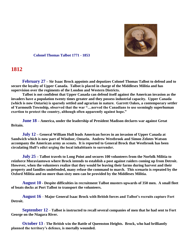

 **Colonel Thomas Talbot 1771 - 1853** 

### **1812**

**February 27 – Sir Isaac Brock appoints and deputizes Colonel Thomas Talbot to defend and to secure the loyalty of Upper Canada. Talbot is placed in charge of the Middlesex Militia and has supervision over the regiments of the London and Western Districts.** 

**Talbot is not confident that Upper Canada can defend itself against the American invasion as the invaders have a population twenty times greater and they possess industrial capacity. Upper Canada (which is now Ontario) is sparsely settled and agrarian in nature. Garrett Oakes, a contemporary settler of Yarmouth Township, observed that the war "…nerved the Canadians to use seemingly superhuman exertion to protect the country, although often apparently against hope."**

**June 18 – America, under the leadership of President Madison declares war against Great Britain.**

**July 12 – General William Hull leads American forces in an invasion of Upper Canada at Sandwich which is now part of Windsor, Ontario. Andrew Westbrook and Simon Zelotes Watson accompany the American army as scouts. It is reported to General Brock that Westbrook has been circulating Hull's edict urging the local inhabitants to surrender.** 

**July 25 – Talbot travels to Long Point and secures 100 volunteers from the Norfolk Militia to reinforce Moraviantown where Brock intends to establish a post against raiders coming up from Detroit. However, when the volunteers realize that they would be leaving their farms during harvest and their property and families undefended, many refuse the command to march. This scenario is repeated by the Oxford Militia and no more than sixty men can be provided by the Middlesex Militia.** 

**August 10 - Despite difficulties in recruitment Talbot musters upwards of 350 men. A small fleet of boats docks at Port Talbot to transport the volunteers.**

**August 16** – **Major General Isaac Brock with British forces and Talbot's recruits capture Fort Detroit.**

**September 12** – **Talbot is instructed to recall several companies of men that he had sent to Fort George on the Niagara River.**

**October 13** - **The British win the Battle of Queenston Heights. Brock, who had brilliantly planned the territory's defence, is mortally wounded.**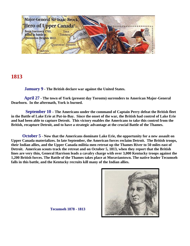

### **1813**

**January 9 - The British declare war against the United States.**

 **April 27 - The town of York (present day Toronto) surrenders to American Major-General Dearborn. In the aftermath, York is burned.**

 **September 10 – The Americans under the command of Captain Perry defeat the British fleet in the Battle of Lake Erie at Put-in-Bay. Since the onset of the war, the British had control of Lake Erie and had been able to capture Detroit. This victory enables the Americans to take this control from the British, recapture Detroit, and to have a strategic advantage at the crucial Battle of the Thames.**

**October 5 - Now that the Americans dominate Lake Erie, the opportunity for a new assault on Upper Canada materializes. In late September, the American forces reclaim Detroit. The British troops, their Indian allies, and the Upper Canada militia men retreat up the Thames River to 50 miles east of Detroit. American scouts track the retreat and on October 5, 1813, when they report that the British lines are very thin, General Harrison leads a cavalry charge with over 3,000 Kentucky troops against the 1,200 British forces. The Battle of the Thames takes place at Moraviantown. The native leader Tecumseh falls in this battle, and the Kentucky recruits kill many of the Indian allies.**



 **Tecumseh 1878 - 1813**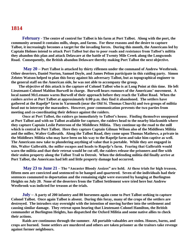### **1814**

**February - The centre of control for Talbot is his farm at Port Talbot. Along with the port, the community around it contains mills, shops, and farms. For these reasons and the desire to capture Talbot, it increasingly becomes a target for the invading forces. During this month, the Americans led by Captain Holmes intend to attack Port Talbot but due to poor roads and resistance from Talbot's militia they abandon this plan and attack Delaware at the battle of Twenty Mile Creek along the Longwoods Road. Consequently, the British abandon Delaware thereby making Port Talbot the next objective.**

**May 20 – Port Talbot is attacked by thirty riflemen under the command of Andrew Westbrook. Other deserters, Daniel Norton, Samuel Doyle, and James Pelton participate in this raiding party. Simon Zelotes Watson helped to plan this foray against his adversary Talbot, but as topographical engineer to the general staff on the American side, he was not able to accompany the group.** 

 **The objective of this attack is the capture of Colonel Talbot who is at Long Point at this time. He left Lieutenant-Colonel Mahlon Burwell in charge. Burwell hears rumours of the Americans' movement. A local named McLemans warns Burwell of their approach before they reach the Talbot Road. When the raiders arrive at Port Talbot at approximately 6:00 p.m. they find it abandoned. The settlers have gathered at the Rapelje\* farm in Yarmouth (near the Old St. Thomas Church) and two groups of militia head out to intercept the marauders. However, poor communication prevents the two parties from meeting and co-coordinating their defence against the raiders.** 

**Once at Port Talbot, the raiders go immediately to Talbot's house. Finding themselves unopposed at Port Talbot and with no Talbot available for capture, the raiders head to the nearby blacksmith where they capture Captain Leslie Patterson of the Middlesex Militia. They continue up the road to the mill which is central in Port Talbot. Here they capture Captain Gilman Wilson also of the Middlesex Militia and the miller, Walter Galbraith. Along the Talbot Road, they come upon Thomas Mathews, a private in the Middlesex Militia who may have been on his way to the Rapelje farm and take him captive as well. The Americans now take to plundering anything of value that is portable. While they are engaged in this, Walter Galbraith, the miller escapes and heads to Rapelje's farm. Fearing that Galbraith would warn the militia and that their retreat would be cut off, the raiders release the prisoners and flee with their stolen property along the Talbot Trail to Detroit. When the defending militia did finally arrive at Port Talbot, the Americans had left and little property damage had occurred.** 

**May 23 to June 21 – The "Ancaster Bloody Assizes" are held. At these trials for high treason, fifteen men are convicted and sentenced to be hanged and quartered. Seven of the individuals had their sentences commuted to deportation and the remaining eight were executed by hanging at Burlington Heights on July 20. None of the deserters from the Talbot Settlement were tried here but Andrew Westbrook was indicted for treason at the trials.**

**July – A party of 200 infantry and 80 horsemen again come to Port Talbot seeking to capture Colonel Talbot. Once again Talbot is absent. During this foray, many of the crops of the settlers are destroyed. The intruders stay overnight with the intention of moving further into the settlement and causing similar damage. They retreat upon hearing that Lieutenant-Colonel Hamilton, the British commander at Burlington Heights, has dispatched the Oxford Militia and some native allies to check their actions.** 

**Raids are continuous through the summer. All portable valuables are stolen. Houses, barns, and crops are burned. Some settlers are murdered and others are taken prisoner as the traitors take revenge against former neighbours.**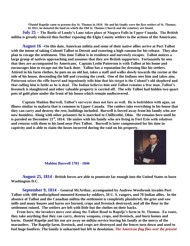**\*Daniel Rapelje came to present day St. Thomas in 1810. He and his family were the first settlers of St. Thomas. In 1821, he donated the land on which the Old St. Thomas Church and the cemetery are found.**

**July 25 – The Battle of Lundy's Lane takes place at Niagara Falls in Upper Canada. The British militia is greatly reduced thus further exposing the Elgin County settlers to the actions of the Americans.**

**August 16 –On this date, American militia and some of their native allies arrive at Port Talbot with the intent of taking Colonel Talbot to Detroit and extorting a high ransom for his release. They also plan to ravage the settlement. This time Talbot is in residence and narrowly escapes. Talbot notices a large group of natives approaching and assumes that they are British supporters. Fortunately he sees that they are accompanied by Americans. Captain Leslie Patterson is with Talbot at his home and encourages him to escape out the back door. Talbot has a reputation for dressing like his settlers. Attired in his farm clothes, he puts on an old hat, takes a staff and walks slowly towards the ravine at the side of his house, descending the hill and crossing the creek. One of the Indians sees him and takes aim. Patterson seizes the rifle barrel and ingeniously tells him that his target is the Colonel's old shepherd and that calling him is futile as he is deaf. The Indian believes him and Talbot remains a free man. Talbot's livestock is slaughtered and other valuable property is carried off. The wily Talbot had hidden two quart pots of gold plate under the front of his house which remain undiscovered.**

**Captain Mahlon Burwell, Talbot's surveyor does not fare as well. He is bedridden with ague, an illness similar to malaria that is common to Upper Canada. The raiders take everything in his house that they can carry and destroy the rest, buildings included. Burwell is forced away from his family who are now homeless. Along with other prisoners he is marched to Chillicothe, Ohio. He remains here until he is paroled on December 21st, 1814. He unites with his family who are living in Fort Erie with relatives and returns with them to his land near Port Talbot. Burwell is later compensated for his time in captivity and is able to claim the losses incurred during the raid on his property.**



 **Mahlon Burwell 1783 - 1846** 

 **August 25, 1814 - British forces are able to penetrate far enough into the United States to burn Washington D.C.**

 **September 9, 1814 – General McArthur, accompanied by Andrew Westbrook invades Port Talbot with 600 undisciplined mounted Kentucky soldiers, 50 U. S. rangers, and 70 Indian allies. In the absence of Talbot and the Canadian militia the settlement is completely plundered; the grist and saw mills and many houses and barns are burned, crops and livestock destroyed, and all the flour in the settlement ruined. The settlers are left with little but the clothes on their backs.**

 **From here, the invaders move east along the Talbot Road to Rapelje's farm in St. Thomas. En route, they take anything that they can carry, destroy weapons, crops, and livestock, and burn homes and barns. Daniel Rapelje and his son are away on militia service leaving his family at the mercy of the marauders. The Rapelje farm, livestock, and crops are destroyed and the fences torn down and used to fuel huge bonfires. The family is unharmed but left in desolation.** *The American flag flies over the present*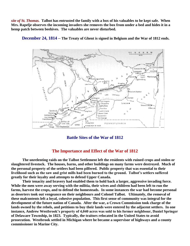*site of St. Thomas.* **Talbot has entrusted the family with a box of his valuables to be kept safe. When Mrs. Rapelje observes the incoming invaders she removes the box from under a bed and hides it in a hemp patch between beehives. The valuables are never disturbed.** 



 **December 24, 1814 – The Treaty of Ghent is signed in Belgium and the War of 1812 ends.**

**Battle Sites of the War of 1812**

#### **The Importance and Effect of the War of 1812**

**The unrelenting raids on the Talbot Settlement left the residents with ruined crops and stolen or slaughtered livestock. The houses, barns, and other buildings on many farms were destroyed. Much of the personal property of the settlers had been pilfered. Public property that was essential to their livelihood such as the saw and grist mills had been burned to the ground. Talbot's settlers suffered greatly for their loyalty and attempts to defend Upper Canada.** 

**Their tenacity and bravery had enabled them to hold back a larger, aggressive invading force. While the men were away serving with the militia, their wives and children had been left to run the farms, harvest the crops, and to defend the homesteads. In some instances the war had become personal as deserters took out vengeance on their neighbours and Colonel Talbot. Ultimately, the removal of these malcontents left a loyal, cohesive population. This first sense of community was integral for the development of the future nation of Canada. After the war, a Crown Commission took charge of the lands owned by the rebels, and petitions to buy their lands were entered by the adjacent settlers. In one instance, Andrew Westbrook's property of 4,040 acres was sold to his former neighbour, Daniel Springer of Delaware Township, in 1823. Typically, the traitors relocated in the United States to avoid prosecution. Westbrook settled in Michigan where he became a supervisor of highways and a county commissioner in Marine City.**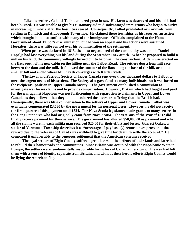**Like his settlers, Colonel Talbot endured great losses. His farm was destroyed and his mills had been burned. He was unable to give his customary aid to disadvantaged immigrants who began to arrive in increasing numbers after the hostilities ceased. Consequently, Talbot prohibited new arrivals from settling in Dunwich and Aldborough Townships. He claimed these townships as his reserves, an action which brought him into conflict with many of the immigrants. Officials complained to the Home Government about Talbot's discrimination, but he won an appeal and his actions were sustained. Hereafter, there was little control over his administration of the settlement.**

 **When peace was declared in 1815, the most urgent need of the community was a mill. Daniel Rapelje had lost everything but his land during the September 1814 attack. When he proposed to build a mill on his land, the community willingly turned out to help with the construction. A dam was erected on the flats south of his new cabin on the hilltop near the Talbot Road. The settlers dug a long mill race between the dam and the mill. It followed the contour of the flats along the base of the hill, around a smaller hill and ended where Mill Creek converges with Kettle Creek.** 

**The Loyal and Patriotic Society of Upper Canada sent over three thousand dollars to Talbot to meet the urgent needs of his settlers. The Society also gave funds to many individuals but it was based on the recipients' position in Upper Canada society. The government established a commission to investigate war losses claims and to provide compensation. However, Britain which had fought and paid for the war against Napoleon was not forthcoming with reparation to claimants in Upper and Lower Canada as they believed that they had not endured the losses or suffering that the British had. Consequently, there was little compensation to the settlers of Upper and Lower Canada. Talbot was eventually compensated £3,630 by the government for his personal losses. However, he did not receive the first quarter of this payment until 1824. The Nova Scotia legislature made grants to many settlers in the Long Point area who had originally come from Nova Scotia. The veterans of the War of 1812 did finally receive payment for their service. The government has allotted \$50,000.00 as payment and when all the claims were in, each militia man received \$20.00 for their effort and losses. Garrett Oakes, a settler of Yarmouth Township describes it as "arrearage of pay" as "(c)ircumstances prove that the reward due to the veterans of Canada was withheld to give time for death to settle the account." He compared it unfavorably to the generous settlement that the American veterans received.**

**The loyal settlers of Elgin County suffered great losses in the defence of their lands and later had to rebuild their homesteads and communities. Since Britain was occupied with the Napoleonic Wars in Europe, the settlers were fundamentally responsible for no loss of Canadian territory. The war had left them with a sense of identity separate from Britain, and without their heroic efforts Elgin County would be flying the American flag.**